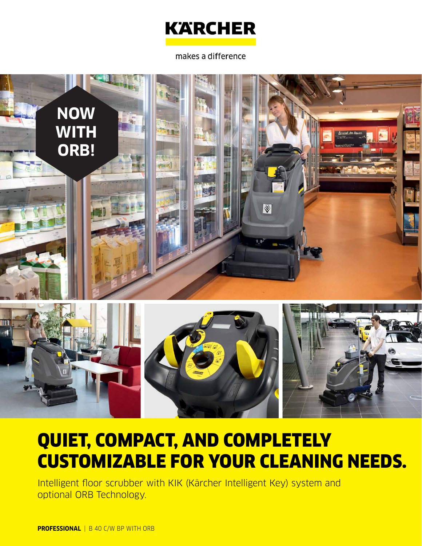

### makes a difference



# QUIET, COMPACT, AND COMPLETELY CUSTOMIZABLE FOR YOUR CLEANING NEEDS.

Intelligent floor scrubber with KIK (Kärcher Intelligent Key) system and optional ORB Technology.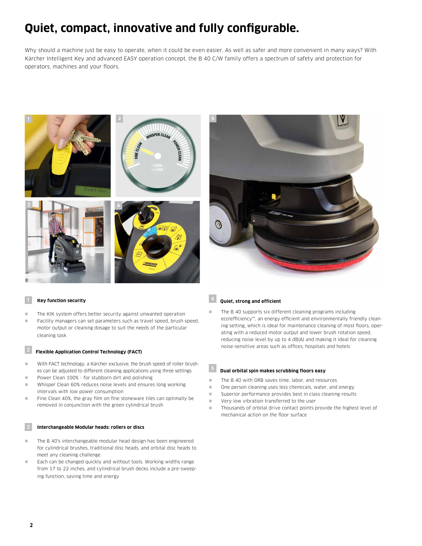### **Quiet, compact, innovative and fully configurable.**

Why should a machine just be easy to operate, when it could be even easier. As well as safer and more convenient in many ways? With Kärcher Intelligent Key and advanced EASY operation concept, the B 40 C/W family offers a spectrum of safety and protection for operators, machines and your floors.





- The KIK system offers better security against unwanted operation
- Facility managers can set parameters such as travel speed, brush speed, motor output or cleaning dosage to suit the needs of the particular cleaning task

### 2 **Flexible Application Control Technology (FACT)**

- $\blacksquare$  With FACT technology, a Kärcher exclusive, the brush speed of roller brushes can be adjusted to different cleaning applications using three settings
- **n** Power Clean 100% for stubborn dirt and polishing
- **Now Whisper Clean 60% reduces noise levels and ensures long working** intervals with low power consumption
- n Fine Clean 40%, the gray film on fine stoneware tiles can optimally be removed in conjunction with the green cylindrical brush

#### 3 **Interchangeable Modular heads: rollers or discs**

- $\blacksquare$  The B 40's interchangeable modular head design has been engineered for cylindrical brushes, traditional disc heads, and orbital disc heads to meet any cleaning challenge
- Each can be changed quickly and without tools. Working widths range from 17 to 22 inches, and cylindrical brush decks include a pre-sweeping function, saving time and energy

#### **<sup>4</sup> Quiet, strong and efficient**

The B 40 supports six different cleaning programs including eco!efficiency™, an energy efficient and environmentally friendly cleaning setting, which is ideal for maintenance cleaning of most floors, operating with a reduced motor output and lower brush rotation speed, reducing noise level by up to 4 dB(A) and making it ideal for cleaning noise-sensitive areas such as offices, hospitals and hotels

### **<sup>5</sup> Dual orbital spin makes scrubbing floors easy**

- The B 40 with ORB saves time, labor, and resources
- $\blacksquare$  One person cleaning uses less chemicals, water, and energy
- n Superior performance provides best in class cleaning results
- very low vibration transferred to the user
- Thousands of orbital drive contact points provide the highest level of mechanical action on the floor surface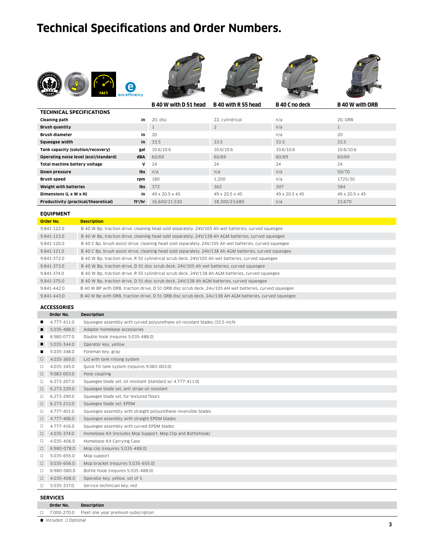## **Technical Specifications and Order Numbers.**











|                                       |                     | B 40 W with D 51 head | B 40 with R 55 head | B 40 C no deck | <b>B</b> 40 W with ORB |
|---------------------------------------|---------------------|-----------------------|---------------------|----------------|------------------------|
| <b>TECHNICAL SPECIFICATIONS</b>       |                     |                       |                     |                |                        |
| <b>Cleaning path</b>                  | in                  | 20. disc              | 22. cylindrical     | n/a            | 20. ORB                |
| <b>Brush quantity</b>                 |                     |                       | $\overline{2}$      | n/a            |                        |
| <b>Brush diameter</b>                 | in                  | 20                    |                     | n/a            | 20                     |
| Squeegee width                        | in                  | 33.5                  | 33.5                | 33.5           | 33.5                   |
| Tank capacity (solution/recovery)     | gal                 | 10.6/10.6             | 10.6/10.6           | 10.6/10.6      | 10.6/10.6              |
| Operating noise level (eco!/standard) | dBA                 | 60/69                 | 60/69               | 60/69          | 60/69                  |
| Total machine battery voltage         | v                   | 24                    | 24                  | 24             | 24                     |
| Down pressure                         | lbs                 | n/a                   | n/a                 | n/a            | 50/70                  |
| Brush speed                           | rpm                 | 180                   | 1,200               | n/a            | 1725/30                |
| Weight with batteries                 | lbs                 | 372                   | 362                 | 307            | 384                    |
| Dimensions (L x W x H)                | in                  | 49 x 20.5 x 45        | 49 x 20.5 x 45      | 49 x 20.5 x 45 | 49 x 20.5 x 45         |
| Productivity (practical/theoretical)  | ft <sup>2</sup> /hr | 16.600/21.530         | 18,300/23,680       | n/a            | 23.670                 |

### **EQUIPMENT**

| Order No.   | <b>Description</b>                                                                                      |
|-------------|---------------------------------------------------------------------------------------------------------|
| 9.841-122.0 | B 40 W Bp, traction drive, cleaning head sold separately, 24V/105 Ah wet batteries, curved squeegee     |
| 9.841-123.0 | B 40 W Bp, traction drive, cleaning head sold separately, 24V/138 Ah AGM batteries, curved squeegee     |
| 9.841-120.0 | B 40 C Bp, brush assist drive, cleaning head sold separately, 24V/105 Ah wet batteries, curved squeegee |
| 9.841-121.0 | B 40 C Bp, brush assist drive, cleaning head sold separately, 24V/138 Ah AGM batteries, curved squeegee |
| 9.841-372.0 | B 40 W Bp, traction drive, R 55 cylindrical scrub deck, 24V/105 Ah wet batteries, curved squeegee       |
| 9.841-373.0 | B 40 W Bp, traction drive, D 51 disc scrub deck, 24V/105 Ah wet batteries, curved squeegee              |
| 9.841-374.0 | B 40 W Bp, traction drive, R 55 cylindrical scrub deck, 24V/138 Ah AGM batteries, curved squeegee       |
| 9.841-375.0 | B 40 W Bp, traction drive, D 51 disc scrub deck, 24V/138 Ah AGM batteries, curved squeegee              |
| 9.841-442.0 | B 40 W BP with ORB, traction drive, D 51 ORB disc scrub deck, 24v/105 AH wet batteries, curved squeegee |
| 9.841-443.0 | B 40 W Bp with ORB, traction drive, D 51 ORB disc scrub deck, 24v/138 AH AGM batteries, curved squeegee |
|             |                                                                                                         |

### **ACCESSORIES**

|        | .           |                                                                             |
|--------|-------------|-----------------------------------------------------------------------------|
|        | Order No.   | <b>Description</b>                                                          |
| ■      | 4.777-411.0 | Squeegee assembly with curved polyurethane oil-resistant blades (33.5-inch) |
| п      | 5.035-488.0 | Adapter homebase accessories                                                |
|        | 6.980-077.0 | Double hook (requires 5.035-488.0)                                          |
| п      | 5.035-344.0 | Operator key, yellow                                                        |
| п      | 5.035-348.0 | Foreman key, gray                                                           |
| $\Box$ | 4.035-369.0 | Lid with tank rinsing system                                                |
| □      | 4.035-345.0 | Quick fill tank system (requires 9.083-003.0)                               |
| $\Box$ | 9.083-003.0 | Hose coupling                                                               |
| $\Box$ | 6.273-207.0 | Squeegee blade set, oil resistant (standard w/ 4.777-411.0)                 |
| $\Box$ | 6.273-229.0 | Squeegee blade set, anti stripe oil resistant                               |
| $\Box$ | 6.273-290.0 | Squeegee blade set, for textured floors                                     |
| $\Box$ | 6.273-213.0 | Squeegee blade set, EPDM                                                    |
| $\Box$ | 4.777-401.0 | Squeegee assembly with straight polyurethane reversible blades              |
| $\Box$ | 4.777-406.0 | Squeegee assembly with straight EPDM blades                                 |
| $\Box$ | 4.777-416.0 | Squeegee assembly with curved EPDM blades                                   |
| $\Box$ | 4.035-374.0 | Homebase Kit (includes Mop Support, Mop Clip and Bottlehook)                |
| $\Box$ | 4.035-406.0 | Homebase Kit Carrying Case                                                  |
| $\Box$ | 6.980-078.0 | Mop clip (requires 5.035-488.0)                                             |
| $\Box$ | 5.035-655.0 | Mop support                                                                 |
| $\Box$ | 5.035-656.0 | Mop bracket (requires 5.035-655.0)                                          |
| $\Box$ | 6.980-080.0 | Bottle hook (requires 5.035-488.0)                                          |
| $\Box$ | 4.035-408.0 | Operator key, yellow, set of 5                                              |
| □      | 5.035-337.0 | Service technician key, red                                                 |
|        |             |                                                                             |

### **SERVICES**

7.000-270.0 Fleet one year premium subscription

■ Included □ Optional